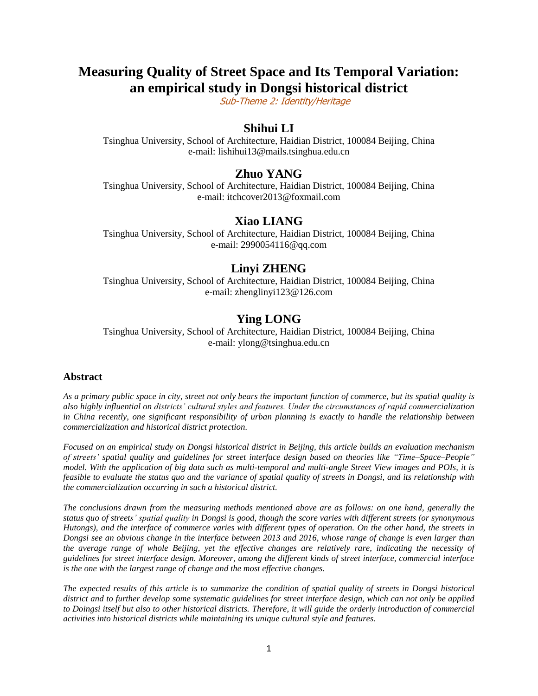# **Measuring Quality of Street Space and Its Temporal Variation: an empirical study in Dongsi historical district**

Sub-Theme 2: Identity/Heritage

## **Shihui LI**

Tsinghua University, School of Architecture, Haidian District, 100084 Beijing, China e-mail: lishihui13@mails.tsinghua.edu.cn

## **Zhuo YANG**

Tsinghua University, School of Architecture, Haidian District, 100084 Beijing, China e-mail: itchcover2013@foxmail.com

#### **Xiao LIANG**

Tsinghua University, School of Architecture, Haidian District, 100084 Beijing, China e-mail: 2990054116@qq.com

### **Linyi ZHENG**

Tsinghua University, School of Architecture, Haidian District, 100084 Beijing, China e-mail: zhenglinyi123@126.com

## **Ying LONG**

Tsinghua University, School of Architecture, Haidian District, 100084 Beijing, China e-mail: ylong@tsinghua.edu.cn

#### **Abstract**

*As a primary public space in city, street not only bears the important function of commerce, but its spatial quality is also highly influential on districts' cultural styles and features. Under the circumstances of rapid commercialization in China recently, one significant responsibility of urban planning is exactly to handle the relationship between commercialization and historical district protection.*

*Focused on an empirical study on Dongsi historical district in Beijing, this article builds an evaluation mechanism of streets' spatial quality and guidelines for street interface design based on theories like "Time–Space–People" model. With the application of big data such as multi-temporal and multi-angle Street View images and POIs, it is feasible to evaluate the status quo and the variance of spatial quality of streets in Dongsi, and its relationship with the commercialization occurring in such a historical district.*

*The conclusions drawn from the measuring methods mentioned above are as follows: on one hand, generally the status quo of streets' spatial quality in Dongsi is good, though the score varies with different streets (or synonymous Hutongs), and the interface of commerce varies with different types of operation. On the other hand, the streets in Dongsi see an obvious change in the interface between 2013 and 2016, whose range of change is even larger than the average range of whole Beijing, yet the effective changes are relatively rare, indicating the necessity of guidelines for street interface design. Moreover, among the different kinds of street interface, commercial interface is the one with the largest range of change and the most effective changes.*

*The expected results of this article is to summarize the condition of spatial quality of streets in Dongsi historical district and to further develop some systematic guidelines for street interface design, which can not only be applied to Doingsi itself but also to other historical districts. Therefore, it will guide the orderly introduction of commercial activities into historical districts while maintaining its unique cultural style and features.*